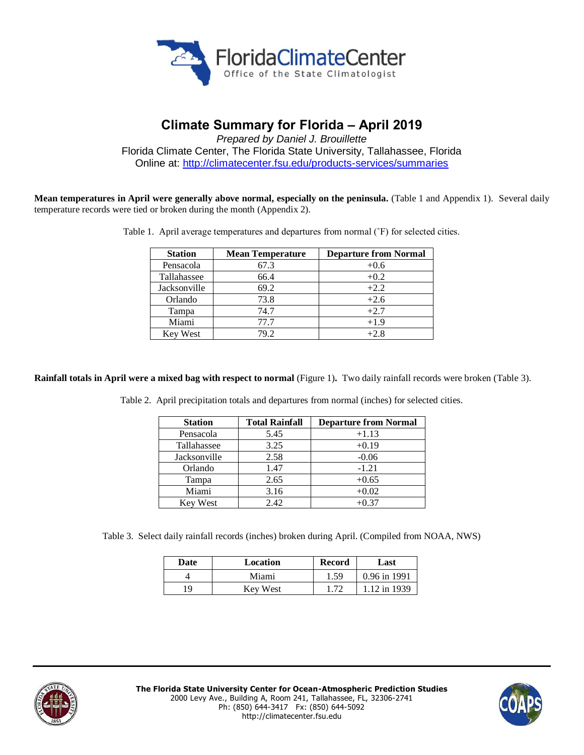

## **Climate Summary for Florida – April 2019**

*Prepared by Daniel J. Brouillette* Florida Climate Center, The Florida State University, Tallahassee, Florida Online at:<http://climatecenter.fsu.edu/products-services/summaries>

**Mean temperatures in April were generally above normal, especially on the peninsula.** (Table 1 and Appendix 1). Several daily temperature records were tied or broken during the month (Appendix 2).

Table 1. April average temperatures and departures from normal (˚F) for selected cities.

| <b>Station</b>  | <b>Mean Temperature</b> | <b>Departure from Normal</b> |
|-----------------|-------------------------|------------------------------|
| Pensacola       | 67.3                    | $+0.6$                       |
| Tallahassee     | 66.4                    | $+0.2$                       |
| Jacksonville    | 69.2                    | $+2.2$                       |
| Orlando         | 73.8                    | $+2.6$                       |
| Tampa           | 74.7                    | $+2.7$                       |
| Miami           | 77.7                    | $+1.9$                       |
| <b>Key West</b> | 79.2                    | $+2.8$                       |

**Rainfall totals in April were a mixed bag with respect to normal** (Figure 1)**.** Two daily rainfall records were broken (Table 3).

Table 2. April precipitation totals and departures from normal (inches) for selected cities.

| <b>Station</b> | <b>Total Rainfall</b> | <b>Departure from Normal</b> |
|----------------|-----------------------|------------------------------|
| Pensacola      | 5.45                  | $+1.13$                      |
| Tallahassee    | 3.25                  | $+0.19$                      |
| Jacksonville   | 2.58                  | $-0.06$                      |
| Orlando        | 1.47                  | $-1.21$                      |
| Tampa          | 2.65                  | $+0.65$                      |
| Miami          | 3.16                  | $+0.02$                      |
| Key West       | 2.42                  | $+0.37$                      |

Table 3. Select daily rainfall records (inches) broken during April. (Compiled from NOAA, NWS)

| Date | Location | <b>Record</b> | Last           |
|------|----------|---------------|----------------|
|      | Miami    | 1.59          | $0.96$ in 1991 |
| 10   | Kev West |               | 12 in 1939     |



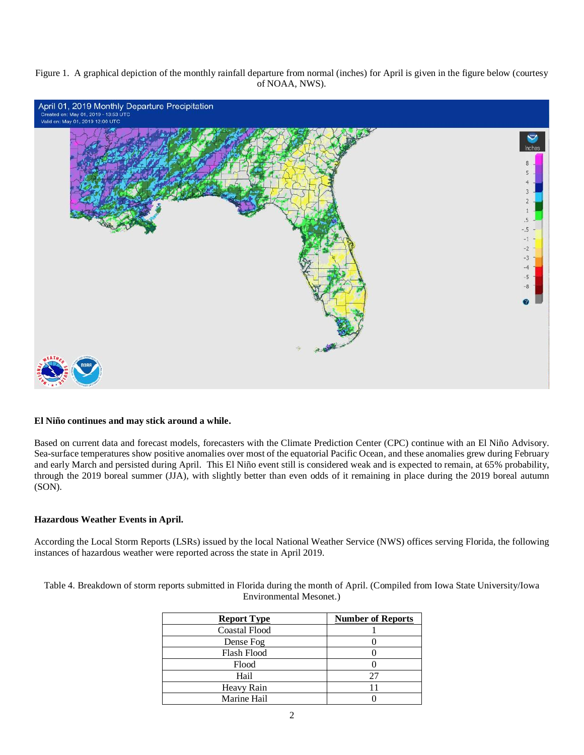Figure 1. A graphical depiction of the monthly rainfall departure from normal (inches) for April is given in the figure below (courtesy of NOAA, NWS).



#### **El Niño continues and may stick around a while.**

Based on current data and forecast models, forecasters with the Climate Prediction Center (CPC) continue with an El Niño Advisory. Sea-surface temperatures show positive anomalies over most of the equatorial Pacific Ocean, and these anomalies grew during February and early March and persisted during April. This El Niño event still is considered weak and is expected to remain, at 65% probability, through the 2019 boreal summer (JJA), with slightly better than even odds of it remaining in place during the 2019 boreal autumn (SON).

#### **Hazardous Weather Events in April.**

According the Local Storm Reports (LSRs) issued by the local National Weather Service (NWS) offices serving Florida, the following instances of hazardous weather were reported across the state in April 2019.

Table 4. Breakdown of storm reports submitted in Florida during the month of April. (Compiled from Iowa State University/Iowa Environmental Mesonet.)

| <b>Report Type</b>   | <b>Number of Reports</b> |
|----------------------|--------------------------|
| <b>Coastal Flood</b> |                          |
| Dense Fog            |                          |
| Flash Flood          |                          |
| Flood                |                          |
| Hail                 | 25                       |
| Heavy Rain           |                          |
| Marine Hail          |                          |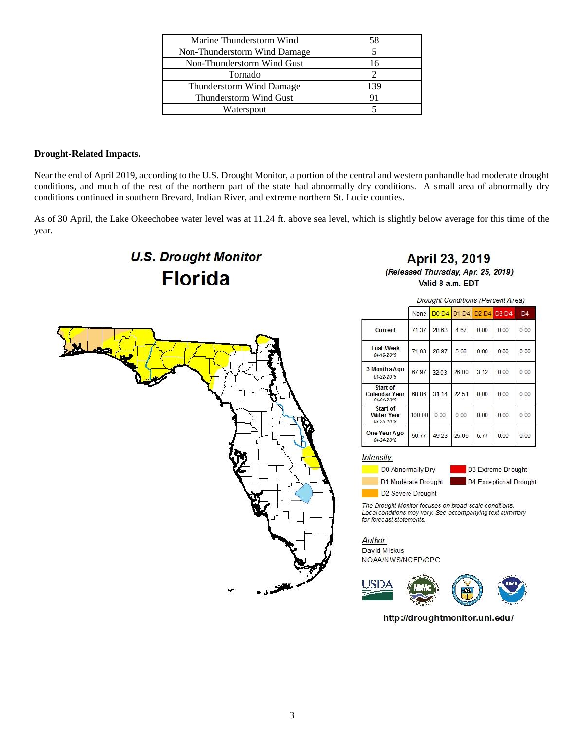| Marine Thunderstorm Wind     | 58  |
|------------------------------|-----|
| Non-Thunderstorm Wind Damage |     |
| Non-Thunderstorm Wind Gust   | 16  |
| Tornado                      |     |
| Thunderstorm Wind Damage     | 139 |
| Thunderstorm Wind Gust       | 91  |
| Waterspout                   |     |

#### **Drought-Related Impacts.**

Near the end of April 2019, according to the U.S. Drought Monitor, a portion of the central and western panhandle had moderate drought conditions, and much of the rest of the northern part of the state had abnormally dry conditions. A small area of abnormally dry conditions continued in southern Brevard, Indian River, and extreme northern St. Lucie counties.

As of 30 April, the Lake Okeechobee water level was at 11.24 ft. above sea level, which is slightly below average for this time of the year.

# **U.S. Drought Monitor Florida**

**April 23, 2019** (Released Thursday, Apr. 25, 2019) Valid 8 a.m. EDT



Drought Conditions (Percent Area)

|                                             | None   | $D0-D4$ | $D1-D4$ | $D2-D4$ | $D3-D4$ | $\Gamma$ <sub>4</sub> |
|---------------------------------------------|--------|---------|---------|---------|---------|-----------------------|
| Current                                     | 71.37  | 28.63   | 4.67    | 0.00    | 0.00    | 0.00                  |
| <b>Last Week</b><br>04-16-2019              | 71.03  | 28.97   | 5.68    | 0.00    | 0.00    | 0.00                  |
| 3 Months Ago<br>01-22-2019                  | 67.97  | 32.03   | 26.00   | 3.12    | 0.00    | 0.00                  |
| Start of<br>Calendar Year<br>01-01-2019     | 68.86  | 31.14   | 22.51   | 0.00    | 0.00    | 0.00                  |
| Start of<br><b>Water Year</b><br>09-25-2018 | 100.00 | 0.00    | 0.00    | 0.00    | 0.00    | 0.00                  |
| One Year Ago<br>04-24-2018                  | 50.77  | 49.23   | 25.06   | 6.77    | 0.00    | 0.00                  |

#### Intensity:

D0 Abnormally Dry D1 Moderate Drought

D3 Extreme Drought D4 Exceptional Drought

D2 Severe Drought

The Drought Monitor focuses on broad-scale conditions. Local conditions may vary. See accompanying text summary for forecast statements.

Author: David Miskus NOAA/NWS/NCEP/CPC



http://droughtmonitor.unl.edu/